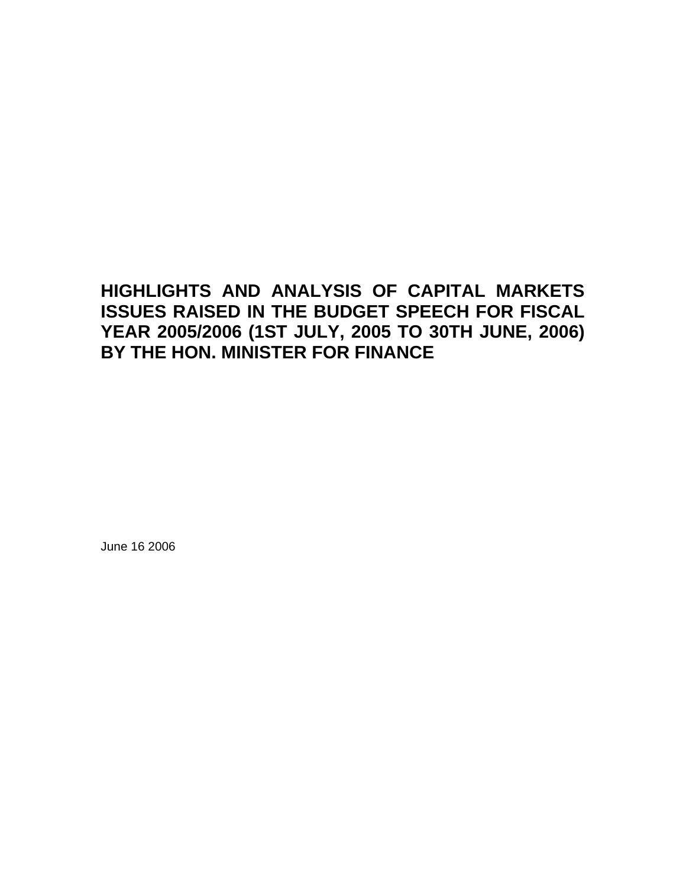## **HIGHLIGHTS AND ANALYSIS OF CAPITAL MARKETS ISSUES RAISED IN THE BUDGET SPEECH FOR FISCAL YEAR 2005/2006 (1ST JULY, 2005 TO 30TH JUNE, 2006) BY THE HON. MINISTER FOR FINANCE**

June 16 2006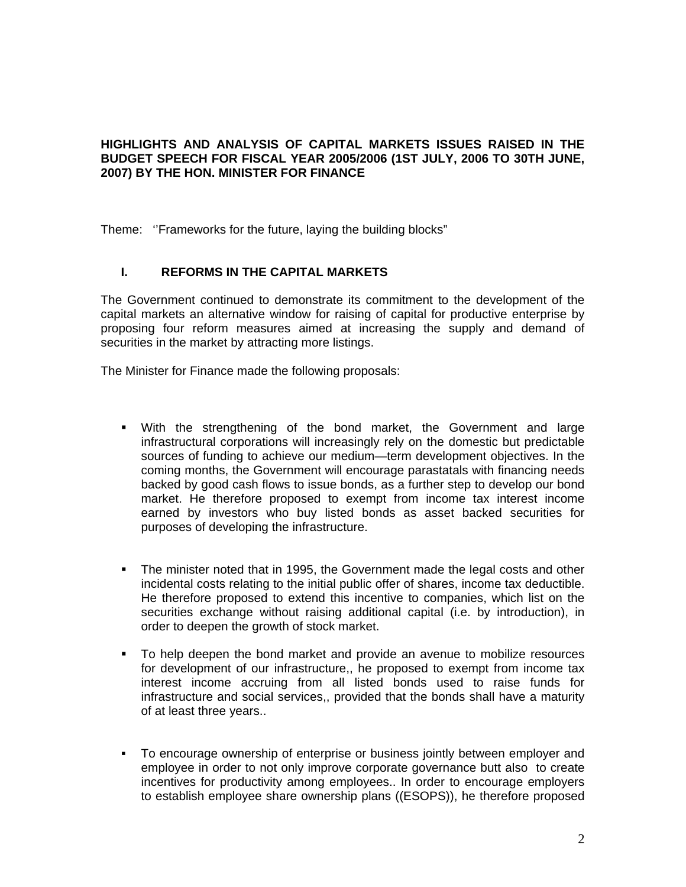## **HIGHLIGHTS AND ANALYSIS OF CAPITAL MARKETS ISSUES RAISED IN THE BUDGET SPEECH FOR FISCAL YEAR 2005/2006 (1ST JULY, 2006 TO 30TH JUNE, 2007) BY THE HON. MINISTER FOR FINANCE**

Theme: ''Frameworks for the future, laying the building blocks"

## **I. REFORMS IN THE CAPITAL MARKETS**

The Government continued to demonstrate its commitment to the development of the capital markets an alternative window for raising of capital for productive enterprise by proposing four reform measures aimed at increasing the supply and demand of securities in the market by attracting more listings.

The Minister for Finance made the following proposals:

- With the strengthening of the bond market, the Government and large infrastructural corporations will increasingly rely on the domestic but predictable sources of funding to achieve our medium—term development objectives. In the coming months, the Government will encourage parastatals with financing needs backed by good cash flows to issue bonds, as a further step to develop our bond market. He therefore proposed to exempt from income tax interest income earned by investors who buy listed bonds as asset backed securities for purposes of developing the infrastructure.
- The minister noted that in 1995, the Government made the legal costs and other incidental costs relating to the initial public offer of shares, income tax deductible. He therefore proposed to extend this incentive to companies, which list on the securities exchange without raising additional capital (i.e. by introduction), in order to deepen the growth of stock market.
- To help deepen the bond market and provide an avenue to mobilize resources for development of our infrastructure,, he proposed to exempt from income tax interest income accruing from all listed bonds used to raise funds for infrastructure and social services,, provided that the bonds shall have a maturity of at least three years..
- To encourage ownership of enterprise or business jointly between employer and employee in order to not only improve corporate governance butt also to create incentives for productivity among employees.. In order to encourage employers to establish employee share ownership plans ((ESOPS)), he therefore proposed